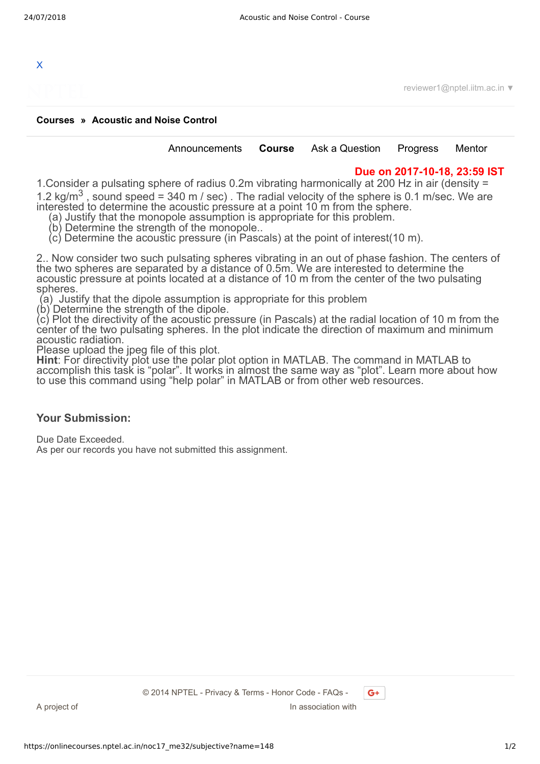

reviewer1@nptel.iitm.ac.in ▼

## **[Courses](https://onlinecourses.nptel.ac.in/) » [Acoustic and Noise Control](https://onlinecourses.nptel.ac.in/noc17_me32/course)**

[Announcements](https://onlinecourses.nptel.ac.in/noc17_me32/announcements) **[Course](https://onlinecourses.nptel.ac.in/noc17_me32/course)** [Ask a Question](https://onlinecourses.nptel.ac.in/noc17_me32/forum) [Progress](https://onlinecourses.nptel.ac.in/noc17_me32/student/home) [Mentor](https://onlinecourses.nptel.ac.in/noc17_me32/student/mentor)

## **Due on 2017-10-18, 23:59 IST**

1.Consider a pulsating sphere of radius 0.2m vibrating harmonically at 200 Hz in air (density = 1.2 kg/m<sup>3</sup>, sound speed = 340 m / sec). The radial velocity of the sphere is 0.1 m/sec. We are interested to determine the acoustic pressure at a point 10 m from the sphere.

- (a) Justify that the monopole assumption is appropriate for this problem.
- (b) Determine the strength of the monopole..
- (c) Determine the acoustic pressure (in Pascals) at the point of interest(10 m).

2.. Now consider two such pulsating spheres vibrating in an out of phase fashion. The centers of the two spheres are separated by a distance of 0.5m. We are interested to determine the acoustic pressure at points located at a distance of 10 m from the center of the two pulsating spheres.

(a) Justify that the dipole assumption is appropriate for this problem

(b) Determine the strength of the dipole.

(c) Plot the directivity of the acoustic pressure (in Pascals) at the radial location of 10 m from the center of the two pulsating spheres. In the plot indicate the direction of maximum and minimum acoustic radiation.

Please upload the jpeg file of this plot.

**Hint**: For directivity plot use the polar plot option in MATLAB. The command in MATLAB to accomplish this task is "polar". It works in almost the same way as "plot". Learn more about how to use this command using "help polar" in MATLAB or from other web resources.

## **Your Submission:**

Due Date Exceeded. As per our records you have not submitted this assignment.

 $G+$